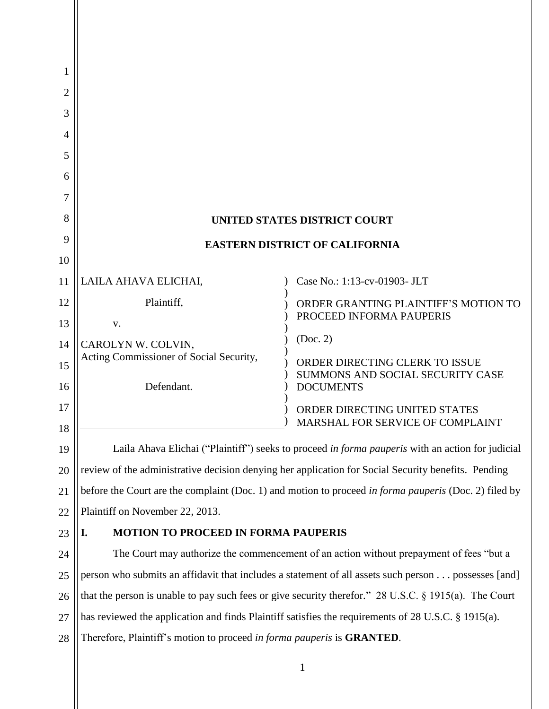| 1        |                                                                                                          |                                                      |  |
|----------|----------------------------------------------------------------------------------------------------------|------------------------------------------------------|--|
| 2        |                                                                                                          |                                                      |  |
| 3        |                                                                                                          |                                                      |  |
| 4        |                                                                                                          |                                                      |  |
| 5        |                                                                                                          |                                                      |  |
| 6        |                                                                                                          |                                                      |  |
| 7        |                                                                                                          |                                                      |  |
| 8        | <b>UNITED STATES DISTRICT COURT</b>                                                                      |                                                      |  |
| 9        | <b>EASTERN DISTRICT OF CALIFORNIA</b>                                                                    |                                                      |  |
| 10<br>11 | LAILA AHAVA ELICHAI,                                                                                     | Case No.: 1:13-cv-01903- JLT                         |  |
| 12       | Plaintiff,                                                                                               | ORDER GRANTING PLAINTIFF'S MOTION TO                 |  |
| 13       | V.                                                                                                       | PROCEED INFORMA PAUPERIS                             |  |
| 14       | CAROLYN W. COLVIN,                                                                                       | (Doc. 2)                                             |  |
| 15       | Acting Commissioner of Social Security,                                                                  | ORDER DIRECTING CLERK TO ISSUE                       |  |
| 16       | Defendant.                                                                                               | SUMMONS AND SOCIAL SECURITY CASE<br><b>DOCUMENTS</b> |  |
| 17       |                                                                                                          | ORDER DIRECTING UNITED STATES                        |  |
| 18       |                                                                                                          | MARSHAL FOR SERVICE OF COMPLAINT                     |  |
| 19       | Laila Ahava Elichai ("Plaintiff") seeks to proceed in forma pauperis with an action for judicial         |                                                      |  |
| 20       | review of the administrative decision denying her application for Social Security benefits. Pending      |                                                      |  |
| 21       | before the Court are the complaint (Doc. 1) and motion to proceed in forma pauperis (Doc. 2) filed by    |                                                      |  |
| 22       | Plaintiff on November 22, 2013.                                                                          |                                                      |  |
| 23       | <b>MOTION TO PROCEED IN FORMA PAUPERIS</b><br>I.                                                         |                                                      |  |
| 24       | The Court may authorize the commencement of an action without prepayment of fees "but a                  |                                                      |  |
| 25       | person who submits an affidavit that includes a statement of all assets such person possesses [and]      |                                                      |  |
| 26       | that the person is unable to pay such fees or give security therefor." 28 U.S.C. $\S$ 1915(a). The Court |                                                      |  |
| 27       | has reviewed the application and finds Plaintiff satisfies the requirements of 28 U.S.C. § 1915(a).      |                                                      |  |
| 28       | Therefore, Plaintiff's motion to proceed in forma pauperis is <b>GRANTED</b> .                           |                                                      |  |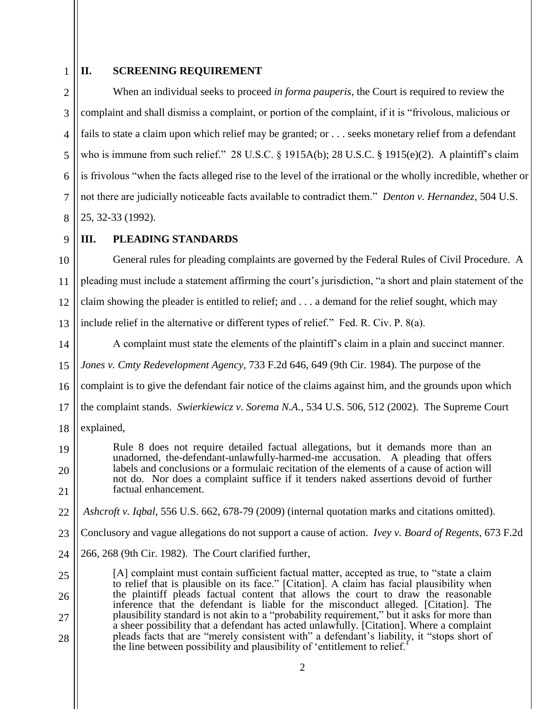1

## **II. SCREENING REQUIREMENT**

2 3 4 5 6 7 8 When an individual seeks to proceed *in forma pauperis*, the Court is required to review the complaint and shall dismiss a complaint, or portion of the complaint, if it is "frivolous, malicious or fails to state a claim upon which relief may be granted; or . . . seeks monetary relief from a defendant who is immune from such relief." 28 U.S.C. § 1915A(b); 28 U.S.C. § 1915(e)(2). A plaintiff's claim is frivolous "when the facts alleged rise to the level of the irrational or the wholly incredible, whether or not there are judicially noticeable facts available to contradict them." *Denton v. Hernandez*, 504 U.S. 25, 32-33 (1992).

9

14

## **III. PLEADING STANDARDS**

10 11 12 13 General rules for pleading complaints are governed by the Federal Rules of Civil Procedure. A pleading must include a statement affirming the court's jurisdiction, "a short and plain statement of the claim showing the pleader is entitled to relief; and . . . a demand for the relief sought, which may include relief in the alternative or different types of relief." Fed. R. Civ. P. 8(a).

A complaint must state the elements of the plaintiff's claim in a plain and succinct manner.

15 *Jones v. Cmty Redevelopment Agency*, 733 F.2d 646, 649 (9th Cir. 1984). The purpose of the

16 complaint is to give the defendant fair notice of the claims against him, and the grounds upon which

17 the complaint stands. *Swierkiewicz v. Sorema N.A.*, 534 U.S. 506, 512 (2002). The Supreme Court

18 explained,

19 20 21 Rule 8 does not require detailed factual allegations, but it demands more than an unadorned, the-defendant-unlawfully-harmed-me accusation. A pleading that offers labels and conclusions or a formulaic recitation of the elements of a cause of action will not do. Nor does a complaint suffice if it tenders naked assertions devoid of further factual enhancement.

22 *Ashcroft v. Iqbal*, 556 U.S. 662, 678-79 (2009) (internal quotation marks and citations omitted).

23 Conclusory and vague allegations do not support a cause of action. *Ivey v. Board of Regents*, 673 F.2d

24 266, 268 (9th Cir. 1982). The Court clarified further,

25 26 27 28 [A] complaint must contain sufficient factual matter, accepted as true, to "state a claim" to relief that is plausible on its face." [Citation]. A claim has facial plausibility when the plaintiff pleads factual content that allows the court to draw the reasonable inference that the defendant is liable for the misconduct alleged. [Citation]. The plausibility standard is not akin to a "probability requirement," but it asks for more than a sheer possibility that a defendant has acted unlawfully. [Citation]. Where a complaint pleads facts that are "merely consistent with" a defendant's liability, it "stops short of the line between possibility and plausibility of 'entitlement to relief.<sup>3</sup>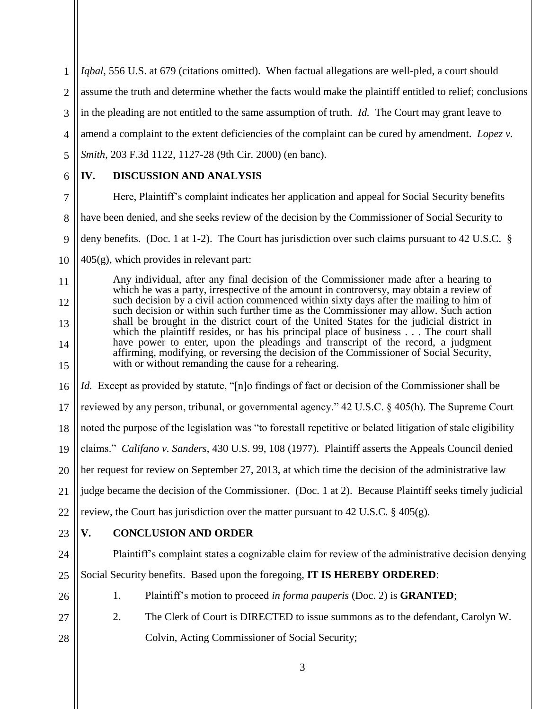1 2 3 4 5 *Iqbal*, 556 U.S. at 679 (citations omitted). When factual allegations are well-pled, a court should assume the truth and determine whether the facts would make the plaintiff entitled to relief; conclusions in the pleading are not entitled to the same assumption of truth. *Id.* The Court may grant leave to amend a complaint to the extent deficiencies of the complaint can be cured by amendment. *Lopez v. Smith*, 203 F.3d 1122, 1127-28 (9th Cir. 2000) (en banc).

6

11

12

13

14

15

## **IV. DISCUSSION AND ANALYSIS**

7 8 9 10 Here, Plaintiff's complaint indicates her application and appeal for Social Security benefits have been denied, and she seeks review of the decision by the Commissioner of Social Security to deny benefits. (Doc. 1 at 1-2). The Court has jurisdiction over such claims pursuant to 42 U.S.C. §  $405(g)$ , which provides in relevant part:

Any individual, after any final decision of the Commissioner made after a hearing to which he was a party, irrespective of the amount in controversy, may obtain a review of such decision by a civil action commenced within sixty days after the mailing to him of such decision or within such further time as the Commissioner may allow. Such action shall be brought in the district court of the United States for the judicial district in which the plaintiff resides, or has his principal place of business . . . The court shall have power to enter, upon the pleadings and transcript of the record, a judgment affirming, modifying, or reversing the decision of the Commissioner of Social Security, with or without remanding the cause for a rehearing.

16 *Id.* Except as provided by statute, "[n]o findings of fact or decision of the Commissioner shall be

17 reviewed by any person, tribunal, or governmental agency." 42 U.S.C. § 405(h). The Supreme Court

18 noted the purpose of the legislation was "to forestall repetitive or belated litigation of stale eligibility

19 claims." *Califano v. Sanders*, 430 U.S. 99, 108 (1977). Plaintiff asserts the Appeals Council denied

20 her request for review on September 27, 2013, at which time the decision of the administrative law

21 judge became the decision of the Commissioner. (Doc. 1 at 2). Because Plaintiff seeks timely judicial

22 review, the Court has jurisdiction over the matter pursuant to 42 U.S.C.  $\S$  405(g).

23

## **V. CONCLUSION AND ORDER**

24 25 Plaintiff's complaint states a cognizable claim for review of the administrative decision denying Social Security benefits. Based upon the foregoing, **IT IS HEREBY ORDERED**:

- 26
- 1. Plaintiff's motion to proceed *in forma pauperis* (Doc. 2) is **GRANTED**;
- 27 28 2. The Clerk of Court is DIRECTED to issue summons as to the defendant, Carolyn W. Colvin, Acting Commissioner of Social Security;